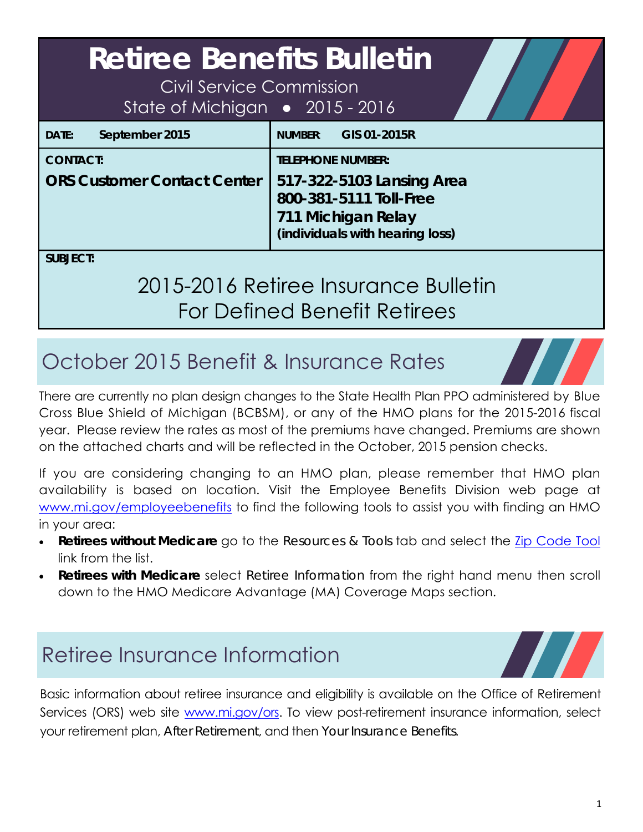| <b>Retiree Benefits Bulletin</b><br>Civil Service Commission<br>State of Michigan • 2015 - 2016 |                                                                                                                                          |
|-------------------------------------------------------------------------------------------------|------------------------------------------------------------------------------------------------------------------------------------------|
| September 2015<br>DATE:                                                                         | GIS 01-2015R<br><b>NUMBER:</b>                                                                                                           |
| <b>CONTACT:</b><br><b>ORS Customer Contact Center</b>                                           | <b>TELEPHONE NUMBER:</b><br>517-322-5103 Lansing Area<br>800-381-5111 Toll-Free<br>711 Michigan Relay<br>(individuals with hearing loss) |
| <b>SUBJECT:</b>                                                                                 | $0.15011 \times 0.1101$                                                                                                                  |

# 2015-2016 Retiree Insurance Bulletin For Defined Benefit Retirees

# October 2015 Benefit & Insurance Rates

There are currently no plan design changes to the State Health Plan PPO administered by Blue Cross Blue Shield of Michigan (BCBSM), or any of the HMO plans for the 2015-2016 fiscal year. Please review the rates as most of the premiums have changed. Premiums are shown on the attached charts and will be reflected in the October, 2015 pension checks.

If you are considering changing to an HMO plan, please remember that HMO plan availability is based on location. Visit the Employee Benefits Division web page at www.mi.gov/employeebenefits to find the following tools to assist you with finding an HMO in your area:

- **Retirees** *without* **Medicare** go to the *Resources & Tools* tab and select the Zip Code Tool link from the list.
- **Retirees** *with* **Medicare** select *Retiree Information* from the right hand menu then scroll down to the HMO Medicare Advantage (MA) Coverage Maps section.

# Retiree Insurance Information

Basic information about retiree insurance and eligibility is available on the Office of Retirement Services (ORS) web site www.mi.gov/ors. To view post-retirement insurance information, select your retirement plan, *After Retirement*, and then *Your Insurance Benefits*.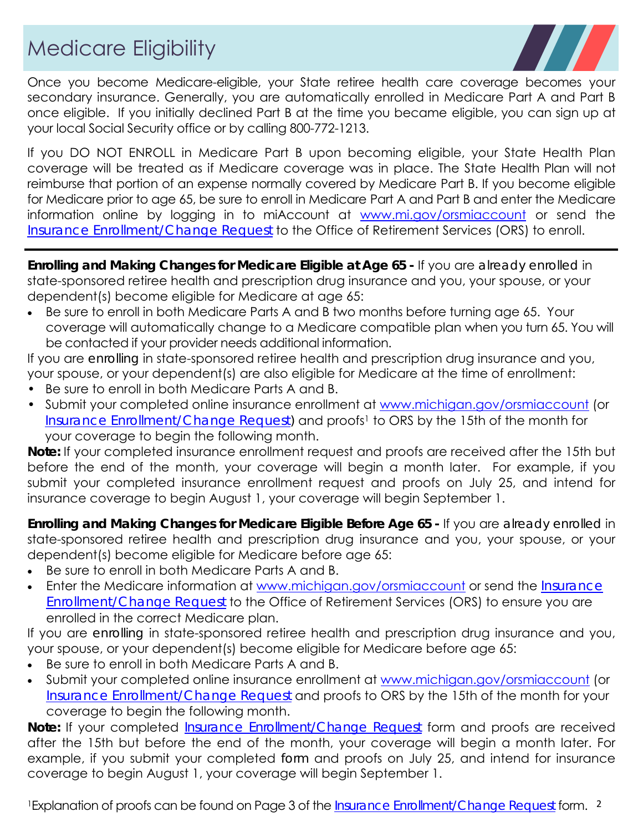# Medicare Eligibility



Once you become Medicare-eligible, your State retiree health care coverage becomes your secondary insurance. Generally, you are automatically enrolled in Medicare Part A and Part B once eligible. If you initially declined Part B at the time you became eligible, you can sign up at your local Social Security office or by calling 800-772-1213.

If you DO NOT ENROLL in Medicare Part B upon becoming eligible, your State Health Plan coverage will be treated as if Medicare coverage was in place. The State Health Plan will not reimburse that portion of an expense normally covered by Medicare Part B. If you become eligible for Medicare prior to age 65, be sure to enroll in Medicare Part A and Part B and enter the Medicare information online by logging in to miAccount at www.mi.gov/orsmiaccount or send the *Insurance Enrollment/Change Request* to the Office of Retirement Services (ORS) to enroll.

**Enrolling and Making Changes for Medicare Eligible at Age 65 -** If you are *already enrolled* in state-sponsored retiree health and prescription drug insurance and you, your spouse, or your dependent(s) become eligible for Medicare at age 65:

 Be sure to enroll in both Medicare Parts A and B two months before turning age 65. Your coverage will automatically change to a Medicare compatible plan when you turn 65. You will be contacted if your provider needs additional information.

If you are *enrolling* in state-sponsored retiree health and prescription drug insurance and you, your spouse, or your dependent(s) are also eligible for Medicare at the time of enrollment:

- Be sure to enroll in both Medicare Parts A and B.
- Submit your completed online insurance enrollment at www.michigan.gov/orsmiaccount (or *Insurance Enrollment/Change Request*) and proofs<sup>1</sup> to ORS by the 15th of the month for your coverage to begin the following month.

**Note:** If your completed insurance enrollment request and proofs are received after the 15th but before the end of the month, your coverage will begin a month later. For example, if you submit your completed insurance enrollment request and proofs on July 25, and intend for insurance coverage to begin August 1, your coverage will begin September 1.

**Enrolling and Making Changes for Medicare Eligible Before Age 65 -** If you are *already enrolled* in state-sponsored retiree health and prescription drug insurance and you, your spouse, or your dependent(s) become eligible for Medicare before age 65:

- Be sure to enroll in both Medicare Parts A and B.
- Enter the Medicare information at www.michigan.gov/orsmiaccount or send the *Insurance Enrollment/Change Request* to the Office of Retirement Services (ORS) to ensure you are enrolled in the correct Medicare plan.

If you are *enrolling* in state-sponsored retiree health and prescription drug insurance and you, your spouse, or your dependent(s) become eligible for Medicare before age 65:

- Be sure to enroll in both Medicare Parts A and B.
- Submit your completed online insurance enrollment at www.michigan.gov/orsmiaccount (or *Insurance Enrollment/Change Request* and proofs to ORS by the 15th of the month for your coverage to begin the following month.

**Note:** If your completed *Insurance Enrollment/Change Request* form and proofs are received after the 15th but before the end of the month, your coverage will begin a month later. For example, if you submit your completed *form* and proofs on July 25, and intend for insurance coverage to begin August 1, your coverage will begin September 1.

<sup>1</sup> Explanation of proofs can be found on Page 3 of the *Insurance Enrollment/Change Request* form. <sup>2</sup>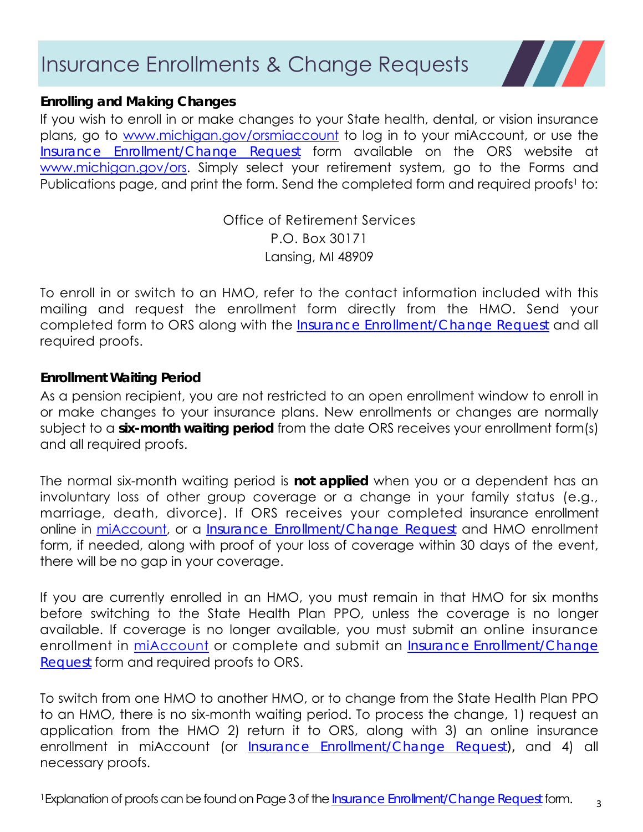### Insurance Enrollments & Change Requests



### **Enrolling and Making Changes**

If you wish to enroll in or make changes to your State health, dental, or vision insurance plans, go to www.michigan.gov/orsmiaccount to log in to your miAccount, or use the *Insurance Enrollment/Change Request* form available on the ORS website at www.michigan.gov/ors. Simply select your retirement system, go to the Forms and Publications page, and print the form. Send the completed form and required proofs<sup>1</sup> to:

> Office of Retirement Services P.O. Box 30171 Lansing, MI 48909

To enroll in or switch to an HMO, refer to the contact information included with this mailing and request the enrollment form directly from the HMO. Send your completed form to ORS along with the *Insurance Enrollment/Change Request* and all required proofs.

### **Enrollment Waiting Period**

As a pension recipient, you are not restricted to an open enrollment window to enroll in or make changes to your insurance plans. New enrollments or changes are normally subject to a **six-month waiting period** from the date ORS receives your enrollment form(s) and all required proofs.

The normal six-month waiting period is **not applied** when you or a dependent has an involuntary loss of other group coverage or a change in your family status (e.g., marriage, death, divorce). If ORS receives your completed insurance enrollment online in miAccount, or a *Insurance Enrollment/Change Request* and HMO enrollment form, if needed, along with proof of your loss of coverage within 30 days of the event, there will be no gap in your coverage.

If you are currently enrolled in an HMO, you must remain in that HMO for six months before switching to the State Health Plan PPO, unless the coverage is no longer available. If coverage is no longer available, you must submit an online insurance enrollment in miAccount or complete and submit an *Insurance Enrollment/Change Request* form and required proofs to ORS.

To switch from one HMO to another HMO, or to change from the State Health Plan PPO to an HMO, there is no six-month waiting period. To process the change, 1) request an application from the HMO 2) return it to ORS, along with 3) an online insurance enrollment in miAccount (or *Insurance Enrollment/Change Request),* and 4) all necessary proofs.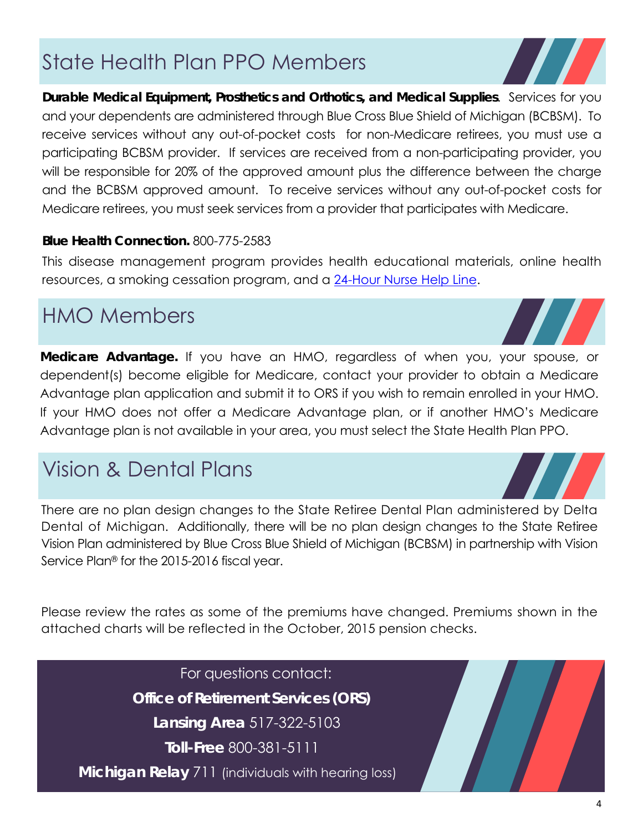# State Health Plan PPO Members

**Durable Medical Equipment, Prosthetics and Orthotics, and Medical Supplies**. Services for you and your dependents are administered through Blue Cross Blue Shield of Michigan (BCBSM). To receive services without any out-of-pocket costs for non-Medicare retirees, you must use a participating BCBSM provider. If services are received from a non-participating provider, you will be responsible for 20% of the approved amount plus the difference between the charge and the BCBSM approved amount. To receive services without any out-of-pocket costs for Medicare retirees, you must seek services from a provider that participates with Medicare.

### **Blue Health Connection.** 800-775-2583

This disease management program provides health educational materials, online health resources, a smoking cessation program, and a 24-Hour Nurse Help Line.

## HMO Members

**Medicare Advantage.** If you have an HMO, regardless of when you, your spouse, or dependent(s) become eligible for Medicare, contact your provider to obtain a Medicare Advantage plan application and submit it to ORS if you wish to remain enrolled in your HMO. If your HMO does not offer a Medicare Advantage plan, or if another HMO's Medicare Advantage plan is not available in your area, you must select the State Health Plan PPO.

### Vision & Dental Plans

There are no plan design changes to the State Retiree Dental Plan administered by Delta Dental of Michigan. Additionally, there will be no plan design changes to the State Retiree Vision Plan administered by Blue Cross Blue Shield of Michigan (BCBSM) in partnership with Vision Service Plan® for the 2015-2016 fiscal year.

Please review the rates as some of the premiums have changed. Premiums shown in the attached charts will be reflected in the October, 2015 pension checks.

For questions contact:

**Office of Retirement Services (ORS)** 

**Lansing Area** 517-322-5103

**Toll-Free** 800-381-5111

**Michigan Relay** 711 (individuals with hearing loss)





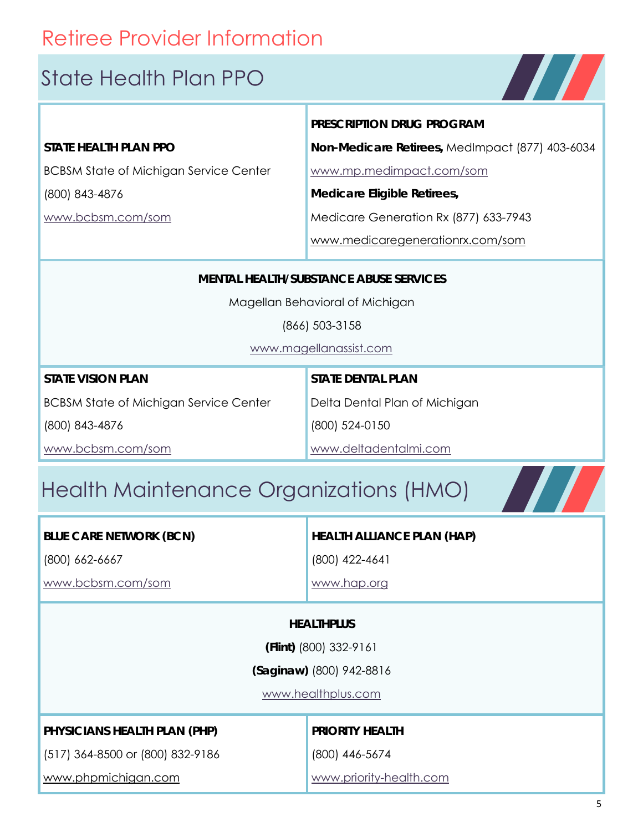# Retiree Provider Information

### State Health Plan PPO

### **STATE HEALTH PLAN PPO**

BCBSM State of Michigan Service Center

(800) 843-4876

www.bcbsm.com/som

**PRESCRIPTION DRUG PROGRAM**

**Non-Medicare Retirees,** MedImpact (877) 403-6034

**TITLE** 

 $\boldsymbol{H}$ 

www.mp.medimpact.com/som

**Medicare Eligible Retirees,** 

Medicare Generation Rx (877) 633-7943

www.medicaregenerationrx.com/som

### **MENTAL HEALTH/SUBSTANCE ABUSE SERVICES**

Magellan Behavioral of Michigan

(866) 503-3158

www.magellanassist.com

| <b>STATE VISION PLAN</b>                      | <b>STATE DENTAL PLAN</b>      |
|-----------------------------------------------|-------------------------------|
| <b>BCBSM State of Michigan Service Center</b> | Delta Dental Plan of Michigan |
| (800) 843-4876                                | (800) 524-0150                |
| www.bcbsm.com/som                             | www.deltadentalmi.com         |

# Health Maintenance Organizations (HMO)

| <b>BLUE CARE NETWORK (BCN)</b> |  |
|--------------------------------|--|
|--------------------------------|--|

(800) 662-6667

www.bcbsm.com/som

**HEALTH ALLIANCE PLAN (HAP)**

(800) 422-4641

www.hap.org

### **HEALTHPLUS**

**(Flint)** (800) 332-9161

**(Saginaw)** (800) 942-8816

www.healthplus.com

### **PHYSICIANS HEALTH PLAN (PHP)**

(517) 364-8500 or (800) 832-9186

www.phpmichigan.com

### **PRIORITY HEALTH**

(800) 446-5674

www.priority-health.com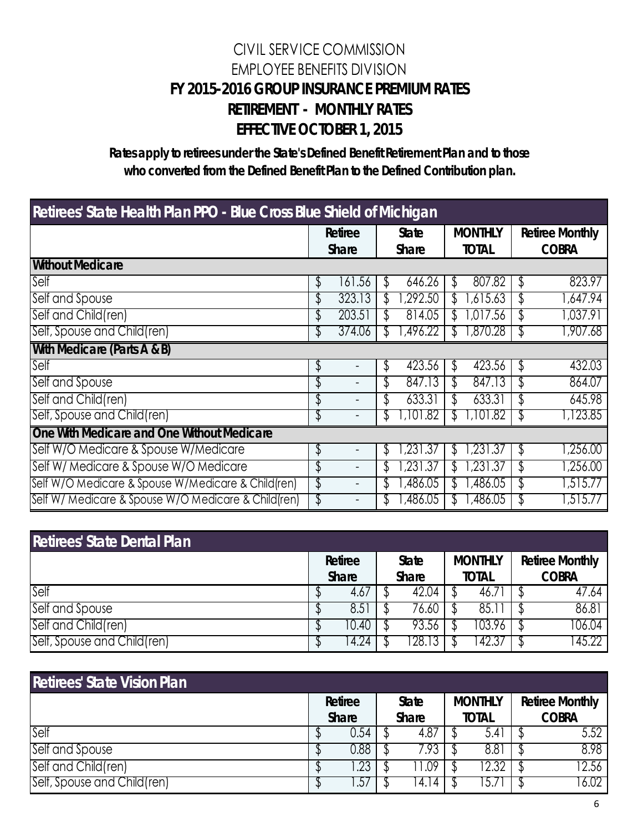### CIVIL SERVICE COMMISSION EMPLOYEE BENEFITS DIVISION **FY 2015-2016 GROUP INSURANCE PREMIUM RATES RETIREMENT - MONTHLY RATES EFFECTIVE OCTOBER 1, 2015**

**Rates apply to retirees under the State's Defined Benefit Retirement Plan and to those who converted from the Defined Benefit Plan to the Defined Contribution plan.**

| Retirees' State Health Plan PPO - Blue Cross Blue Shield of Michigan |    |                          |    |                              |    |                                |    |                                        |  |  |
|----------------------------------------------------------------------|----|--------------------------|----|------------------------------|----|--------------------------------|----|----------------------------------------|--|--|
|                                                                      |    | Retiree<br><b>Share</b>  |    | <b>State</b><br><b>Share</b> |    | <b>MONTHLY</b><br><b>TOTAL</b> |    | <b>Retiree Monthly</b><br><b>COBRA</b> |  |  |
| <b>Without Medicare</b>                                              |    |                          |    |                              |    |                                |    |                                        |  |  |
| Self                                                                 | \$ | 161.56                   |    | 646.26                       | Γ  | 807.82                         | \$ | 823.97                                 |  |  |
| Self and Spouse                                                      | \$ | 323.13                   |    | ,292.50                      |    | 615.63,                        | J  | ,647.94                                |  |  |
| Self and Child(ren)                                                  | \$ | 203.51                   |    | 814.05                       |    | 7.56<br>.01                    | \$ | 1,037.91                               |  |  |
| Self, Spouse and Child(ren)                                          | P  | 374.06                   |    | ,496.22                      | J) | ,870.28                        |    | ,907.68                                |  |  |
| With Medicare (Parts A & B)                                          |    |                          |    |                              |    |                                |    |                                        |  |  |
| Self                                                                 | \$ |                          | \$ | 423.56                       | S  | 423.56                         | \$ | 432.03                                 |  |  |
| Self and Spouse                                                      | \$ |                          | \$ | 847.13                       |    | 847.13                         | S  | 864.07                                 |  |  |
| Self and Child(ren)                                                  | \$ | $\overline{\phantom{a}}$ | \$ | 633.31                       |    | 633.31                         | S  | 645.98                                 |  |  |
| Self, Spouse and Child(ren)                                          | \$ |                          | J  | ,101.82                      |    | ,101.82                        | J  | ,123.85                                |  |  |
| One With Medicare and One Without Medicare                           |    |                          |    |                              |    |                                |    |                                        |  |  |
| Self W/O Medicare & Spouse W/Medicare                                | \$ | -                        | ₹  | .231.37                      |    | .231.37                        | S  | ,256.00                                |  |  |
| Self W/ Medicare & Spouse W/O Medicare                               | \$ | $\overline{\phantom{0}}$ | \$ | .231.37                      |    | .231.37                        | \$ | 7256.00                                |  |  |
| Self W/O Medicare & Spouse W/Medicare & Child (ren)                  | \$ | -                        | \$ | .486.05                      |    | ,486.05                        | \$ | 515.77, ا                              |  |  |
| Self W/ Medicare & Spouse W/O Medicare & Child(ren)                  | \$ |                          |    | ,486.05                      |    | ,486.05                        |    | ,515.77                                |  |  |

| <b>Retirees' State Dental Plan</b> |                         |                              |                                |                                        |
|------------------------------------|-------------------------|------------------------------|--------------------------------|----------------------------------------|
|                                    | Retiree<br><b>Share</b> | <b>State</b><br><b>Share</b> | <b>MONTHLY</b><br><b>TOTAL</b> | <b>Retiree Monthly</b><br><b>COBRA</b> |
| Self                               | 4.67                    | 42.04                        | 46./                           | 47.64                                  |
| Self and Spouse                    | 8.5                     | /6.60                        | 85.I                           | 86.81                                  |
| Self and Child(ren)                | 10.40                   | 93.56                        | 103.96                         | 106.04                                 |
| Self, Spouse and Child(ren)        | 4.24                    | 28.                          | 42.3/                          | 45.22                                  |

| <b>Retirees' State Vision Plan</b> |                         |                              |                                |                                        |
|------------------------------------|-------------------------|------------------------------|--------------------------------|----------------------------------------|
|                                    | Retiree<br><b>Share</b> | <b>State</b><br><b>Share</b> | <b>MONTHLY</b><br><b>TOTAL</b> | <b>Retiree Monthly</b><br><b>COBRA</b> |
| Self                               | 0.54                    | 4.8/                         | 5.41                           | 5.52                                   |
| Self and Spouse                    | 0.88                    | '.93                         | 8.81                           | 8.98                                   |
| Self and Child(ren)                | .23                     | .UY                          | 2.32                           | 12.56                                  |
| [Self, Spouse and Child(ren)       | ،∂.                     | 14.14                        |                                | 6.02                                   |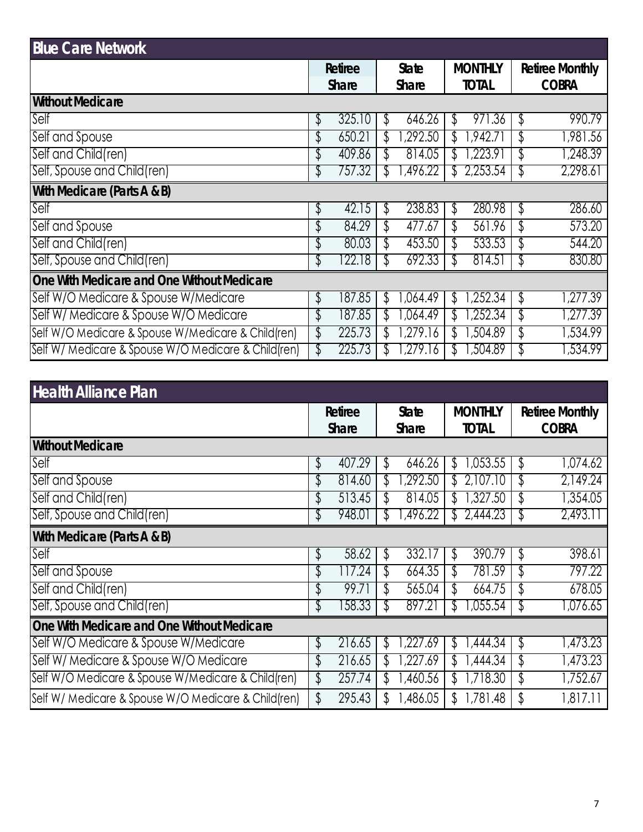| <b>Blue Care Network</b>                             |              |              |                        |              |                |    |                        |
|------------------------------------------------------|--------------|--------------|------------------------|--------------|----------------|----|------------------------|
|                                                      | Retiree      |              | <b>State</b>           |              | <b>MONTHLY</b> |    | <b>Retiree Monthly</b> |
|                                                      | <b>Share</b> | <b>Share</b> |                        | <b>TOTAL</b> |                |    | <b>COBRA</b>           |
| <b>Without Medicare</b>                              |              |              |                        |              |                |    |                        |
| Self                                                 | \$<br>325.10 | \$           | 646.26                 | ď.           | 971.36         | \$ | 990.79                 |
| Self and Spouse                                      | \$<br>650.21 | ď.           | $\sqrt{292.50}$        |              | .942.7         | \$ | ,981.56                |
| Self and Child(ren)                                  | \$<br>409.86 | J)           | 814.05                 |              | .223.91        | \$ | ,248.39                |
| Self, Spouse and Child(ren)                          | \$<br>757.32 | T            | ,496.22                | Υ.           | 2,253.54       |    | 2,298.61               |
| With Medicare (Parts A & B)                          |              |              |                        |              |                |    |                        |
| Self                                                 | \$<br>42.15  | \$           | 238.83                 | \$           | 280.98         | \$ | 286.60                 |
| Self and Spouse                                      | \$<br>84.29  | \$           | 477.67                 | \$           | 561.96         | \$ | 573.20                 |
| Self and Child(ren)                                  | \$<br>80.03  | \$           | 453.50                 |              | 533.53         | \$ | 544.20                 |
| Self, Spouse and Child(ren)                          | \$<br>122.18 | J            | 692.33                 | T            | 814.51         | Φ  | 830.80                 |
| One With Medicare and One Without Medicare           |              |              |                        |              |                |    |                        |
| Self W/O Medicare & Spouse W/Medicare                | \$<br>187.85 | γ            | .064.49                | \$           | ,252.34        | \$ | ,277.39                |
| Self W/ Medicare & Spouse W/O Medicare               | \$<br>187.85 | Ψ,           | .064.49                | Ψ,           | ,252.34        | \$ | ,277.39                |
| Self W/O Medicare & Spouse W/Medicare & Child (ren)  | \$<br>225.73 | ď.           | .279.16                |              | ,504.89        | \$ | 1,534.99               |
| Self W/ Medicare & Spouse W/O Medicare & Child (ren) | \$<br>225.73 |              | ,279.1<br><sup>0</sup> |              | ,504.89        | P  | 534.99.                |

| <b>Health Alliance Plan</b>                         |                         |                              |          |    |                                |    |                                        |
|-----------------------------------------------------|-------------------------|------------------------------|----------|----|--------------------------------|----|----------------------------------------|
|                                                     | Retiree<br><b>Share</b> | <b>State</b><br><b>Share</b> |          |    | <b>MONTHLY</b><br><b>TOTAL</b> |    | <b>Retiree Monthly</b><br><b>COBRA</b> |
| <b>Without Medicare</b>                             |                         |                              |          |    |                                |    |                                        |
| Self                                                | \$<br>407.29            | J                            | 646.26   | \$ | 053.55                         | \$ | 1,074.62                               |
| Self and Spouse                                     | \$<br>814.60            |                              | ,292.50  |    | 2,107.10                       | \$ | 2,149.24                               |
| Self and Child(ren)                                 | 513.45                  |                              | 814.05   |    | ,327.50                        | \$ | 1,354.05                               |
| Self, Spouse and Child(ren)                         | 948.01                  |                              | ,496.22  | .ħ | 2,444.23                       |    | 2,493.11                               |
| With Medicare (Parts A & B)                         |                         |                              |          |    |                                |    |                                        |
| Self                                                | \$<br>58.62             | \$                           | 332.17   | \$ | 390.79                         | \$ | 398.61                                 |
| Self and Spouse                                     | \$<br>117.24            | \$                           | 664.35   | S  | 781.59                         | \$ | 797.22                                 |
| Self and Child(ren)                                 | 99.71                   | T                            | 565.04   |    | 664.75                         | \$ | 678.05                                 |
| Self, Spouse and Child(ren)                         | \$<br>158.33            | T                            | 897.21   | Ψ, | ,055.54                        | ₹  | ,076.65                                |
| One With Medicare and One Without Medicare          |                         |                              |          |    |                                |    |                                        |
| Self W/O Medicare & Spouse W/Medicare               | \$<br>216.65            |                              | .227.69  | ₩  | ,444.34                        | \$ | 1,473.23                               |
| Self W/ Medicare & Spouse W/O Medicare              | \$<br>216.65            |                              | ,227.69  | 7  | ,444.34                        | \$ | 1,473.23                               |
| Self W/O Medicare & Spouse W/Medicare & Child (ren) | \$<br>257.74            | J                            | ,460.56  | ᡈ  | ,718.30                        | \$ | 1,752.67                               |
| Self W/ Medicare & Spouse W/O Medicare & Child(ren) | \$<br>295.43            |                              | 1,486.05 | \$ | 1,781.48                       | \$ | 1,817.11                               |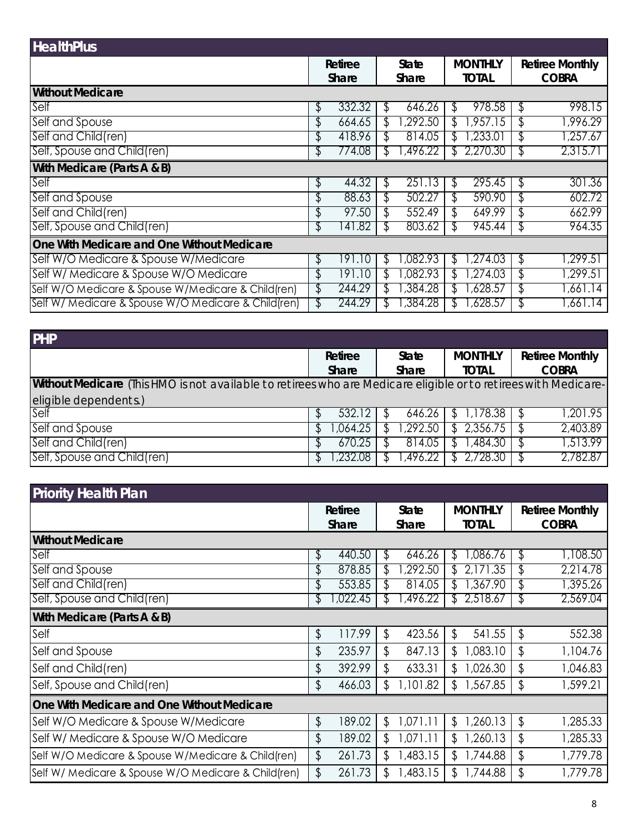| <b>HealthPlus</b>                                   |    |              |              |                 |                |                     |    |                        |
|-----------------------------------------------------|----|--------------|--------------|-----------------|----------------|---------------------|----|------------------------|
|                                                     |    | Retiree      | <b>State</b> |                 | <b>MONTHLY</b> |                     |    | <b>Retiree Monthly</b> |
|                                                     |    | <b>Share</b> | Share        |                 |                | <b>TOTAL</b>        |    | <b>COBRA</b>           |
| <b>Without Medicare</b>                             |    |              |              |                 |                |                     |    |                        |
| Self                                                | \$ | 332.32       |              | 646.26          | Ֆ              | 978.58              | \$ | 998.15                 |
| Self and Spouse                                     | ⊅  | 664.65       |              | $\sqrt{292.50}$ | ה.             | .957.15             | \$ | ,996.29                |
| Self and Child(ren)                                 | \$ | 418.96       |              | 814.05          |                | .233.01             | \$ | ,257.67                |
| Self, Spouse and Child(ren)                         | J  | 774.08       |              | ,496.22         |                | 2,270.30            |    | 2,315.71               |
| With Medicare (Parts A & B)                         |    |              |              |                 |                |                     |    |                        |
| Self                                                | \$ | 44.32        | S            | 251.13          | S              | 295.45              | \$ | 301.36                 |
| Self and Spouse                                     | \$ | 88.63        | Γ            | 502.27          | \$             | 590.90              | \$ | 602.72                 |
| Self and Child(ren)                                 | Φ  | 97.50        | T            | 552.49          | \$             | $\overline{649.99}$ | \$ | 662.99                 |
| Self, Spouse and Child(ren)                         | ⊅  | 141.82       |              | 803.62          | ٦.             | 945.44              | J  | 964.35                 |
| One With Medicare and One Without Medicare          |    |              |              |                 |                |                     |    |                        |
| Self W/O Medicare & Spouse W/Medicare               | \$ | 191.10       | J            | ,082.93         | S              | .274.03             | \$ | ,299.51                |
| Self W/ Medicare & Spouse W/O Medicare              | \$ | 191.10       |              | ,082.93         | ß.             | ,274.03             | \$ | ,299.51                |
| Self W/O Medicare & Spouse W/Medicare & Child(ren)  | \$ | 244.29       |              | ,384.28         | ٦.             | 628.57,             | \$ | .661.14                |
| Self W/ Medicare & Spouse W/O Medicare & Child(ren) |    | 244.29       |              | ,384.28         |                | ,628.57             |    | .661.14                |

| <b>PHP</b>                                                                                                      |   |          |    |              |    |                       |                        |
|-----------------------------------------------------------------------------------------------------------------|---|----------|----|--------------|----|-----------------------|------------------------|
|                                                                                                                 |   | Retiree  |    | <b>State</b> |    | <b>MONTHLY</b>        | <b>Retiree Monthly</b> |
| Without Medicare (This HMO is not available to retirees who are Medicare eligible or to retirees with Medicare- |   | Share    |    | <b>Share</b> |    | <b>TOTAL</b>          | <b>COBRA</b>           |
| eligible dependents.)<br>Self                                                                                   |   |          |    |              |    |                       |                        |
|                                                                                                                 |   | 532.12   |    | 646.26       |    | 178.38. ا             | ,201.95                |
| Self and Spouse                                                                                                 | ħ | 1,064.25 |    | 1,292.50     | Æ. | $\overline{2,356.75}$ | 2,403.89               |
| Self and Child(ren)                                                                                             |   | 670.25   |    | 814.05       |    | .484.30               | 1.513.99               |
| Self, Spouse and Child(ren)                                                                                     |   | .232.08  | .D | .496.22      |    | 2,728.30              | 2.782.87               |

| <b>Priority Health Plan</b>                         |               |    |              |                |                        |    |                        |
|-----------------------------------------------------|---------------|----|--------------|----------------|------------------------|----|------------------------|
|                                                     | Retiree       |    | <b>State</b> | <b>MONTHLY</b> |                        |    | <b>Retiree Monthly</b> |
|                                                     | <b>Share</b>  |    | <b>Share</b> |                | <b>TOTAL</b>           |    | <b>COBRA</b>           |
| <b>Without Medicare</b>                             |               |    |              |                |                        |    |                        |
| Self                                                | \$<br>440.50  | S  | 646.26       | S.             | ,086.76                | \$ | 1,108.50               |
| Self and Spouse                                     | 878.85        | J  | ,292.50      |                | $\mathord{\text{.35}}$ | \$ | 2,214.78               |
| Self and Child(ren)                                 | 553.85        | J  | 814.05       |                | ,367.90                | \$ | 1,395.26               |
| Self, Spouse and Child(ren)                         | \$<br>,022.45 | J  | ,496.22      | Τ.             | 2,518.67               | ₽  | 2,569.04               |
| With Medicare (Parts A & B)                         |               |    |              |                |                        |    |                        |
| Self                                                | \$<br>117.99  | \$ | 423.56       | \$             | 541.55                 | \$ | 552.38                 |
| Self and Spouse                                     | \$<br>235.97  | \$ | 847.13       | \$             | ,083.10                | \$ | 1,104.76               |
| Self and Child(ren)                                 | \$<br>392.99  | \$ | 633.31       | \$.            | ,026.30                | \$ | 1,046.83               |
| Self, Spouse and Child(ren)                         | \$<br>466.03  | \$ | 1,101.82     | S              | 567.85/                | \$ | 1,599.21               |
| One With Medicare and One Without Medicare          |               |    |              |                |                        |    |                        |
| Self W/O Medicare & Spouse W/Medicare               | \$<br>189.02  | \$ | 1,071.11     | \$             | ,260.13                | \$ | 1,285.33               |
| Self W/ Medicare & Spouse W/O Medicare              | \$<br>189.02  | \$ | 1,071.11     | S              | 260.13                 | \$ | 1,285.33               |
| Self W/O Medicare & Spouse W/Medicare & Child(ren)  | \$<br>261.73  | \$ | 1,483.15     | \$             | 1,744.88               | \$ | 1,779.78               |
| Self W/ Medicare & Spouse W/O Medicare & Child(ren) | \$<br>261.73  | \$ | 1,483.15     | \$.            | 744.88                 | \$ | 1,779.78               |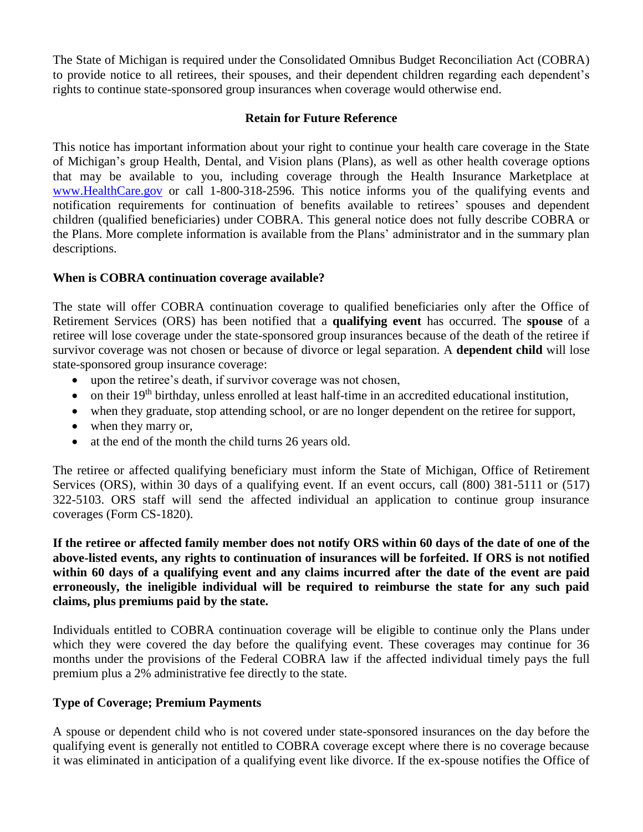The State of Michigan is required under the Consolidated Omnibus Budget Reconciliation Act (COBRA) to provide notice to all retirees, their spouses, and their dependent children regarding each dependent's rights to continue state-sponsored group insurances when coverage would otherwise end.

#### **Retain for Future Reference**

This notice has important information about your right to continue your health care coverage in the State of Michigan's group Health, Dental, and Vision plans (Plans), as well as other health coverage options that may be available to you, including coverage through the Health Insurance Marketplace at [www.HealthCare.gov](http://www.healthcare.gov/) or call 1-800-318-2596. This notice informs you of the qualifying events and notification requirements for continuation of benefits available to retirees' spouses and dependent children (qualified beneficiaries) under COBRA. This general notice does not fully describe COBRA or the Plans. More complete information is available from the Plans' administrator and in the summary plan descriptions.

#### **When is COBRA continuation coverage available?**

The state will offer COBRA continuation coverage to qualified beneficiaries only after the Office of Retirement Services (ORS) has been notified that a **qualifying event** has occurred. The **spouse** of a retiree will lose coverage under the state-sponsored group insurances because of the death of the retiree if survivor coverage was not chosen or because of divorce or legal separation. A **dependent child** will lose state-sponsored group insurance coverage:

- upon the retiree's death, if survivor coverage was not chosen,
- $\bullet$  on their 19<sup>th</sup> birthday, unless enrolled at least half-time in an accredited educational institution,
- when they graduate, stop attending school, or are no longer dependent on the retiree for support,
- when they marry or,
- at the end of the month the child turns 26 years old.

The retiree or affected qualifying beneficiary must inform the State of Michigan, Office of Retirement Services (ORS), within 30 days of a qualifying event. If an event occurs, call (800) 381-5111 or (517) 322-5103. ORS staff will send the affected individual an application to continue group insurance coverages (Form CS-1820).

**If the retiree or affected family member does not notify ORS within 60 days of the date of one of the above-listed events, any rights to continuation of insurances will be forfeited. If ORS is not notified within 60 days of a qualifying event and any claims incurred after the date of the event are paid erroneously, the ineligible individual will be required to reimburse the state for any such paid claims, plus premiums paid by the state.** 

Individuals entitled to COBRA continuation coverage will be eligible to continue only the Plans under which they were covered the day before the qualifying event. These coverages may continue for 36 months under the provisions of the Federal COBRA law if the affected individual timely pays the full premium plus a 2% administrative fee directly to the state.

#### **Type of Coverage; Premium Payments**

A spouse or dependent child who is not covered under state-sponsored insurances on the day before the qualifying event is generally not entitled to COBRA coverage except where there is no coverage because it was eliminated in anticipation of a qualifying event like divorce. If the ex-spouse notifies the Office of